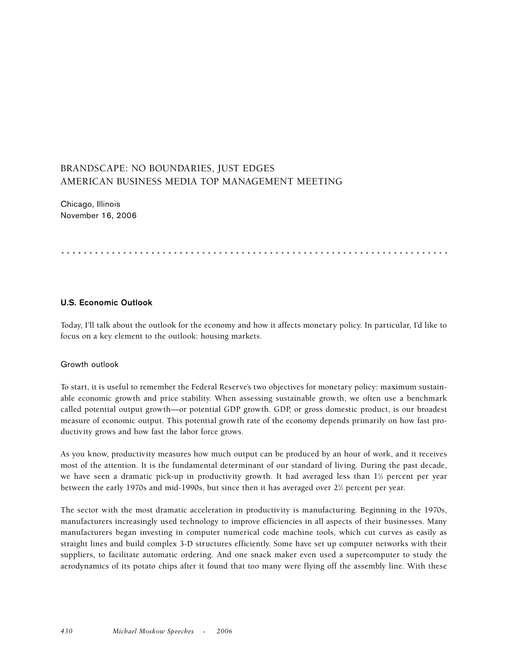# BRANDSCAPE: NO BOUNDARIES, JUST EDGES AMERICAN BUSINESS MEDIA TOP MANAGEMENT MEETING

Chicago, Illinois November 16, 2006

.....................................................................

## **U.S. Economic Outlook**

Today, I'll talk about the outlook for the economy and how it affects monetary policy. In particular, I'd like to focus on a key element to the outlook: housing markets.

### Growth outlook

To start, it is useful to remember the Federal Reserve's two objectives for monetary policy: maximum sustainable economic growth and price stability. When assessing sustainable growth, we often use a benchmark called potential output growth—or potential GDP growth. GDP, or gross domestic product, is our broadest measure of economic output. This potential growth rate of the economy depends primarily on how fast productivity grows and how fast the labor force grows.

As you know, productivity measures how much output can be produced by an hour of work, and it receives most of the attention. It is the fundamental determinant of our standard of living. During the past decade, we have seen a dramatic pick-up in productivity growth. It had averaged less than  $1\%$  percent per year between the early 1970s and mid-1990s, but since then it has averaged over 2½ percent per year.

The sector with the most dramatic acceleration in productivity is manufacturing. Beginning in the 1970s, manufacturers increasingly used technology to improve efficiencies in all aspects of their businesses. Many manufacturers began investing in computer numerical code machine tools, which cut curves as easily as straight lines and build complex 3-D structures efficiently. Some have set up computer networks with their suppliers, to facilitate automatic ordering. And one snack maker even used a supercomputer to study the aerodynamics of its potato chips after it found that too many were flying off the assembly line. With these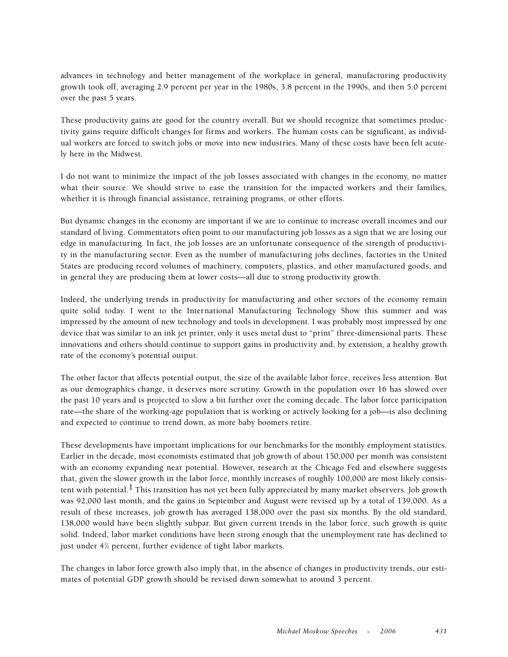advances in technology and better management of the workplace in general, manufacturing productivity growth took off, averaging 2.9 percent per year in the 1980s, 3.8 percent in the 1990s, and then 5.0 percent over the past 5 years.

These productivity gains are good for the country overall. But we should recognize that sometimes productivity gains require difficult changes for firms and workers. The human costs can be significant, as individual workers are forced to switch jobs or move into new industries. Many of these costs have been felt acutely here in the Midwest.

I do not want to minimize the impact of the job losses associated with changes in the economy, no matter what their source. We should strive to ease the transition for the impacted workers and their families, whether it is through financial assistance, retraining programs, or other efforts.

But dynamic changes in the economy are important if we are to continue to increase overall incomes and our standard of living. Commentators often point to our manufacturing job losses as a sign that we are losing our edge in manufacturing. In fact, the job losses are an unfortunate consequence of the strength of productivity in the manufacturing sector. Even as the number of manufacturing jobs declines, factories in the United States are producing record volumes of machinery, computers, plastics, and other manufactured goods, and in general they are producing them at lower costs—all due to strong productivity growth.

Indeed, the underlying trends in productivity for manufacturing and other sectors of the economy remain quite solid today. I went to the International Manufacturing Technology Show this summer and was impressed by the amount of new technology and tools in development. I was probably most impressed by one device that was similar to an ink jet printer, only it uses metal dust to "print" three-dimensional parts. These innovations and others should continue to support gains in productivity and, by extension, a healthy growth rate of the economy's potential output.

The other factor that affects potential output, the size of the available labor force, receives less attention. But as our demographics change, it deserves more scrutiny. Growth in the population over 16 has slowed over the past 10 years and is projected to slow a bit further over the coming decade. The labor force participation rate—the share of the working-age population that is working or actively looking for a job—is also declining and expected to continue to trend down, as more baby boomers retire.

These developments have important implications for our benchmarks for the monthly employment statistics. Earlier in the decade, most economists estimated that job growth of about 150,000 per month was consistent with an economy expanding near potential. However, research at the Chicago Fed and elsewhere suggests that, given the slower growth in the labor force, monthly increases of roughly 100,000 are most likely consistent with potential.  $1$  This transition has not yet been fully appreciated by many market observers. Job growth was 92,000 last month, and the gains in September and August were revised up by a total of 139,000. As a result of these increases, job growth has averaged 138,000 over the past six months. By the old standard, 138,000 would have been slightly subpar. But given current trends in the labor force, such growth is quite solid. Indeed, labor market conditions have been strong enough that the unemployment rate has declined to just under 41 ⁄2 percent, further evidence of tight labor markets.

The changes in labor force growth also imply that, in the absence of changes in productivity trends, our estimates of potential GDP growth should be revised down somewhat to around 3 percent.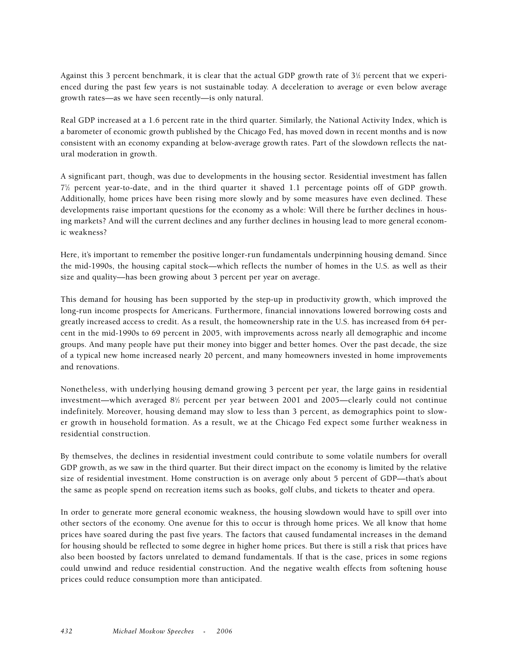Against this 3 percent benchmark, it is clear that the actual GDP growth rate of 3½ percent that we experienced during the past few years is not sustainable today. A deceleration to average or even below average growth rates—as we have seen recently—is only natural.

Real GDP increased at a 1.6 percent rate in the third quarter. Similarly, the National Activity Index, which is a barometer of economic growth published by the Chicago Fed, has moved down in recent months and is now consistent with an economy expanding at below-average growth rates. Part of the slowdown reflects the natural moderation in growth.

A significant part, though, was due to developments in the housing sector. Residential investment has fallen 71 ⁄2 percent year-to-date, and in the third quarter it shaved 1.1 percentage points off of GDP growth. Additionally, home prices have been rising more slowly and by some measures have even declined. These developments raise important questions for the economy as a whole: Will there be further declines in housing markets? And will the current declines and any further declines in housing lead to more general economic weakness?

Here, it's important to remember the positive longer-run fundamentals underpinning housing demand. Since the mid-1990s, the housing capital stock—which reflects the number of homes in the U.S. as well as their size and quality—has been growing about 3 percent per year on average.

This demand for housing has been supported by the step-up in productivity growth, which improved the long-run income prospects for Americans. Furthermore, financial innovations lowered borrowing costs and greatly increased access to credit. As a result, the homeownership rate in the U.S. has increased from 64 percent in the mid-1990s to 69 percent in 2005, with improvements across nearly all demographic and income groups. And many people have put their money into bigger and better homes. Over the past decade, the size of a typical new home increased nearly 20 percent, and many homeowners invested in home improvements and renovations.

Nonetheless, with underlying housing demand growing 3 percent per year, the large gains in residential investment—which averaged 81 ⁄2 percent per year between 2001 and 2005—clearly could not continue indefinitely. Moreover, housing demand may slow to less than 3 percent, as demographics point to slower growth in household formation. As a result, we at the Chicago Fed expect some further weakness in residential construction.

By themselves, the declines in residential investment could contribute to some volatile numbers for overall GDP growth, as we saw in the third quarter. But their direct impact on the economy is limited by the relative size of residential investment. Home construction is on average only about 5 percent of GDP—that's about the same as people spend on recreation items such as books, golf clubs, and tickets to theater and opera.

In order to generate more general economic weakness, the housing slowdown would have to spill over into other sectors of the economy. One avenue for this to occur is through home prices. We all know that home prices have soared during the past five years. The factors that caused fundamental increases in the demand for housing should be reflected to some degree in higher home prices. But there is still a risk that prices have also been boosted by factors unrelated to demand fundamentals. If that is the case, prices in some regions could unwind and reduce residential construction. And the negative wealth effects from softening house prices could reduce consumption more than anticipated.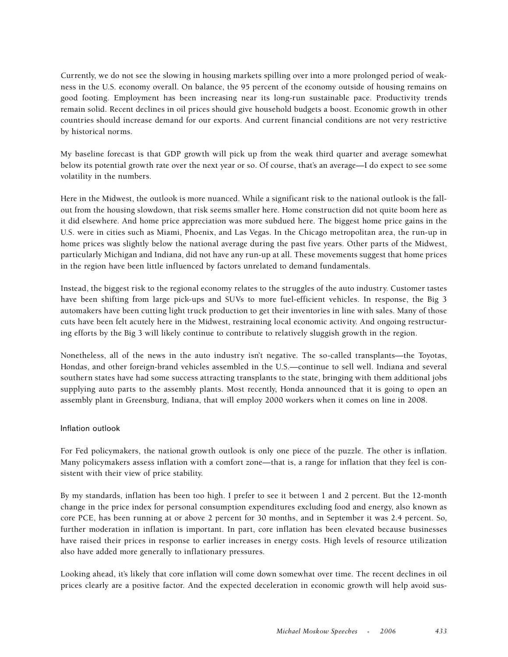Currently, we do not see the slowing in housing markets spilling over into a more prolonged period of weakness in the U.S. economy overall. On balance, the 95 percent of the economy outside of housing remains on good footing. Employment has been increasing near its long-run sustainable pace. Productivity trends remain solid. Recent declines in oil prices should give household budgets a boost. Economic growth in other countries should increase demand for our exports. And current financial conditions are not very restrictive by historical norms.

My baseline forecast is that GDP growth will pick up from the weak third quarter and average somewhat below its potential growth rate over the next year or so. Of course, that's an average—I do expect to see some volatility in the numbers.

Here in the Midwest, the outlook is more nuanced. While a significant risk to the national outlook is the fallout from the housing slowdown, that risk seems smaller here. Home construction did not quite boom here as it did elsewhere. And home price appreciation was more subdued here. The biggest home price gains in the U.S. were in cities such as Miami, Phoenix, and Las Vegas. In the Chicago metropolitan area, the run-up in home prices was slightly below the national average during the past five years. Other parts of the Midwest, particularly Michigan and Indiana, did not have any run-up at all. These movements suggest that home prices in the region have been little influenced by factors unrelated to demand fundamentals.

Instead, the biggest risk to the regional economy relates to the struggles of the auto industry. Customer tastes have been shifting from large pick-ups and SUVs to more fuel-efficient vehicles. In response, the Big 3 automakers have been cutting light truck production to get their inventories in line with sales. Many of those cuts have been felt acutely here in the Midwest, restraining local economic activity. And ongoing restructuring efforts by the Big 3 will likely continue to contribute to relatively sluggish growth in the region.

Nonetheless, all of the news in the auto industry isn't negative. The so-called transplants—the Toyotas, Hondas, and other foreign-brand vehicles assembled in the U.S.—continue to sell well. Indiana and several southern states have had some success attracting transplants to the state, bringing with them additional jobs supplying auto parts to the assembly plants. Most recently, Honda announced that it is going to open an assembly plant in Greensburg, Indiana, that will employ 2000 workers when it comes on line in 2008.

### Inflation outlook

For Fed policymakers, the national growth outlook is only one piece of the puzzle. The other is inflation. Many policymakers assess inflation with a comfort zone—that is, a range for inflation that they feel is consistent with their view of price stability.

By my standards, inflation has been too high. I prefer to see it between 1 and 2 percent. But the 12-month change in the price index for personal consumption expenditures excluding food and energy, also known as core PCE, has been running at or above 2 percent for 30 months, and in September it was 2.4 percent. So, further moderation in inflation is important. In part, core inflation has been elevated because businesses have raised their prices in response to earlier increases in energy costs. High levels of resource utilization also have added more generally to inflationary pressures.

Looking ahead, it's likely that core inflation will come down somewhat over time. The recent declines in oil prices clearly are a positive factor. And the expected deceleration in economic growth will help avoid sus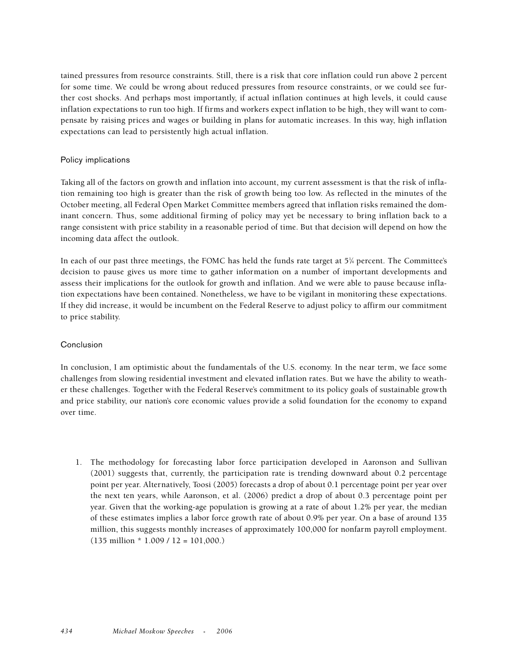tained pressures from resource constraints. Still, there is a risk that core inflation could run above 2 percent for some time. We could be wrong about reduced pressures from resource constraints, or we could see further cost shocks. And perhaps most importantly, if actual inflation continues at high levels, it could cause inflation expectations to run too high. If firms and workers expect inflation to be high, they will want to compensate by raising prices and wages or building in plans for automatic increases. In this way, high inflation expectations can lead to persistently high actual inflation.

### Policy implications

Taking all of the factors on growth and inflation into account, my current assessment is that the risk of inflation remaining too high is greater than the risk of growth being too low. As reflected in the minutes of the October meeting, all Federal Open Market Committee members agreed that inflation risks remained the dominant concern. Thus, some additional firming of policy may yet be necessary to bring inflation back to a range consistent with price stability in a reasonable period of time. But that decision will depend on how the incoming data affect the outlook.

In each of our past three meetings, the FOMC has held the funds rate target at 5¼ percent. The Committee's decision to pause gives us more time to gather information on a number of important developments and assess their implications for the outlook for growth and inflation. And we were able to pause because inflation expectations have been contained. Nonetheless, we have to be vigilant in monitoring these expectations. If they did increase, it would be incumbent on the Federal Reserve to adjust policy to affirm our commitment to price stability.

#### Conclusion

In conclusion, I am optimistic about the fundamentals of the U.S. economy. In the near term, we face some challenges from slowing residential investment and elevated inflation rates. But we have the ability to weather these challenges. Together with the Federal Reserve's commitment to its policy goals of sustainable growth and price stability, our nation's core economic values provide a solid foundation for the economy to expand over time.

1. The methodology for forecasting labor force participation developed in Aaronson and Sullivan (2001) suggests that, currently, the participation rate is trending downward about 0.2 percentage point per year. Alternatively, Toosi (2005) forecasts a drop of about 0.1 percentage point per year over the next ten years, while Aaronson, et al. (2006) predict a drop of about 0.3 percentage point per year. Given that the working-age population is growing at a rate of about 1.2% per year, the median of these estimates implies a labor force growth rate of about 0.9% per year. On a base of around 135 million, this suggests monthly increases of approximately 100,000 for nonfarm payroll employment.  $(135$  million  $*$  1.009 / 12 = 101,000.)